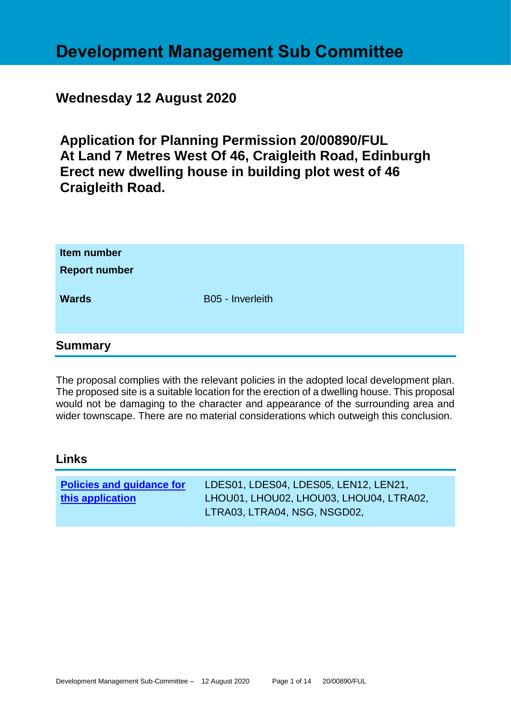# **Development Management Sub Committee**

# **Wednesday 12 August 2020**

**Application for Planning Permission 20/00890/FUL At Land 7 Metres West Of 46, Craigleith Road, Edinburgh Erect new dwelling house in building plot west of 46 Craigleith Road.**

| Item number<br><b>Report number</b><br><b>Wards</b> | B05 - Inverleith |
|-----------------------------------------------------|------------------|
| <b>Summary</b>                                      |                  |

The proposal complies with the relevant policies in the adopted local development plan. The proposed site is a suitable location for the erection of a dwelling house. This proposal would not be damaging to the character and appearance of the surrounding area and wider townscape. There are no material considerations which outweigh this conclusion.

#### **Links**

| <b>Policies and guidance for</b> | LDES01, LDES04, LDES05, LEN12, LEN21,   |
|----------------------------------|-----------------------------------------|
| this application                 | LHOU01, LHOU02, LHOU03, LHOU04, LTRA02, |
|                                  | LTRA03, LTRA04, NSG, NSGD02,            |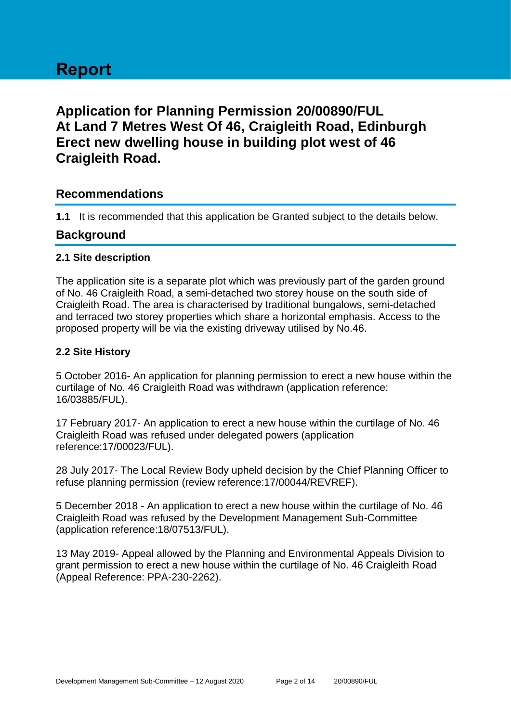# **Report**

# **Application for Planning Permission 20/00890/FUL At Land 7 Metres West Of 46, Craigleith Road, Edinburgh Erect new dwelling house in building plot west of 46 Craigleith Road.**

# **Recommendations**

**1.1** It is recommended that this application be Granted subject to the details below.

# **Background**

#### **2.1 Site description**

The application site is a separate plot which was previously part of the garden ground of No. 46 Craigleith Road, a semi-detached two storey house on the south side of Craigleith Road. The area is characterised by traditional bungalows, semi-detached and terraced two storey properties which share a horizontal emphasis. Access to the proposed property will be via the existing driveway utilised by No.46.

#### **2.2 Site History**

5 October 2016- An application for planning permission to erect a new house within the curtilage of No. 46 Craigleith Road was withdrawn (application reference: 16/03885/FUL).

17 February 2017- An application to erect a new house within the curtilage of No. 46 Craigleith Road was refused under delegated powers (application reference:17/00023/FUL).

28 July 2017- The Local Review Body upheld decision by the Chief Planning Officer to refuse planning permission (review reference:17/00044/REVREF).

5 December 2018 - An application to erect a new house within the curtilage of No. 46 Craigleith Road was refused by the Development Management Sub-Committee (application reference:18/07513/FUL).

13 May 2019- Appeal allowed by the Planning and Environmental Appeals Division to grant permission to erect a new house within the curtilage of No. 46 Craigleith Road (Appeal Reference: PPA-230-2262).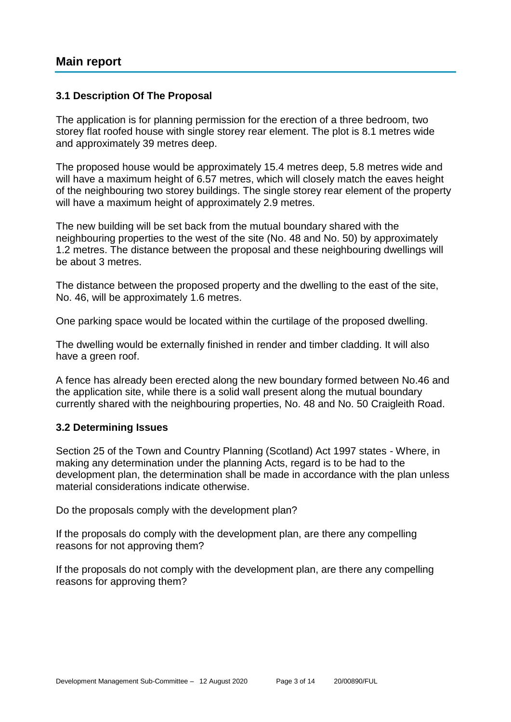#### **3.1 Description Of The Proposal**

The application is for planning permission for the erection of a three bedroom, two storey flat roofed house with single storey rear element. The plot is 8.1 metres wide and approximately 39 metres deep.

The proposed house would be approximately 15.4 metres deep, 5.8 metres wide and will have a maximum height of 6.57 metres, which will closely match the eaves height of the neighbouring two storey buildings. The single storey rear element of the property will have a maximum height of approximately 2.9 metres.

The new building will be set back from the mutual boundary shared with the neighbouring properties to the west of the site (No. 48 and No. 50) by approximately 1.2 metres. The distance between the proposal and these neighbouring dwellings will be about 3 metres.

The distance between the proposed property and the dwelling to the east of the site, No. 46, will be approximately 1.6 metres.

One parking space would be located within the curtilage of the proposed dwelling.

The dwelling would be externally finished in render and timber cladding. It will also have a green roof.

A fence has already been erected along the new boundary formed between No.46 and the application site, while there is a solid wall present along the mutual boundary currently shared with the neighbouring properties, No. 48 and No. 50 Craigleith Road.

#### **3.2 Determining Issues**

Section 25 of the Town and Country Planning (Scotland) Act 1997 states - Where, in making any determination under the planning Acts, regard is to be had to the development plan, the determination shall be made in accordance with the plan unless material considerations indicate otherwise.

Do the proposals comply with the development plan?

If the proposals do comply with the development plan, are there any compelling reasons for not approving them?

If the proposals do not comply with the development plan, are there any compelling reasons for approving them?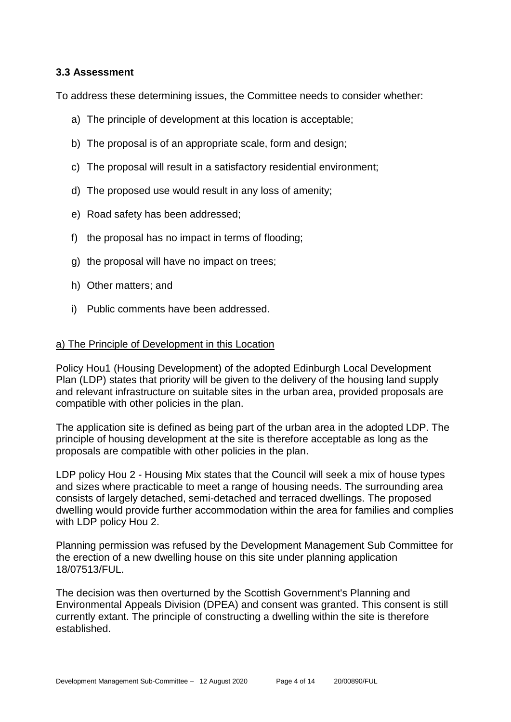#### **3.3 Assessment**

To address these determining issues, the Committee needs to consider whether:

- a) The principle of development at this location is acceptable;
- b) The proposal is of an appropriate scale, form and design;
- c) The proposal will result in a satisfactory residential environment;
- d) The proposed use would result in any loss of amenity;
- e) Road safety has been addressed;
- f) the proposal has no impact in terms of flooding;
- g) the proposal will have no impact on trees;
- h) Other matters; and
- i) Public comments have been addressed.

#### a) The Principle of Development in this Location

Policy Hou1 (Housing Development) of the adopted Edinburgh Local Development Plan (LDP) states that priority will be given to the delivery of the housing land supply and relevant infrastructure on suitable sites in the urban area, provided proposals are compatible with other policies in the plan.

The application site is defined as being part of the urban area in the adopted LDP. The principle of housing development at the site is therefore acceptable as long as the proposals are compatible with other policies in the plan.

LDP policy Hou 2 - Housing Mix states that the Council will seek a mix of house types and sizes where practicable to meet a range of housing needs. The surrounding area consists of largely detached, semi-detached and terraced dwellings. The proposed dwelling would provide further accommodation within the area for families and complies with LDP policy Hou 2.

Planning permission was refused by the Development Management Sub Committee for the erection of a new dwelling house on this site under planning application 18/07513/FUL.

The decision was then overturned by the Scottish Government's Planning and Environmental Appeals Division (DPEA) and consent was granted. This consent is still currently extant. The principle of constructing a dwelling within the site is therefore established.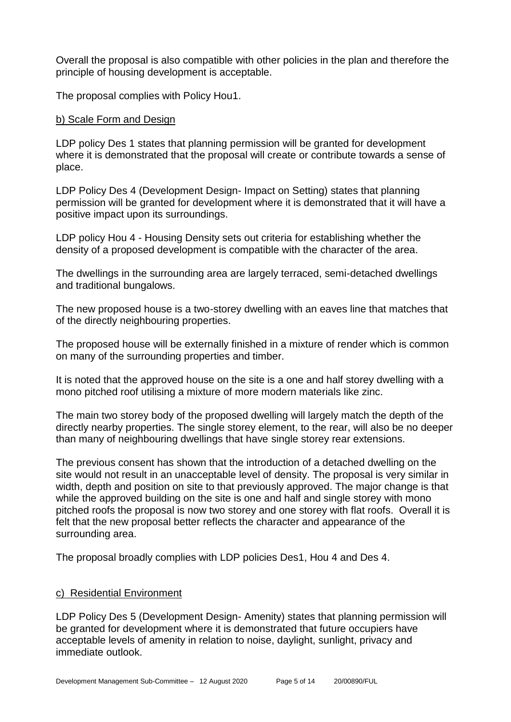Overall the proposal is also compatible with other policies in the plan and therefore the principle of housing development is acceptable.

The proposal complies with Policy Hou1.

#### b) Scale Form and Design

LDP policy Des 1 states that planning permission will be granted for development where it is demonstrated that the proposal will create or contribute towards a sense of place.

LDP Policy Des 4 (Development Design- Impact on Setting) states that planning permission will be granted for development where it is demonstrated that it will have a positive impact upon its surroundings.

LDP policy Hou 4 - Housing Density sets out criteria for establishing whether the density of a proposed development is compatible with the character of the area.

The dwellings in the surrounding area are largely terraced, semi-detached dwellings and traditional bungalows.

The new proposed house is a two-storey dwelling with an eaves line that matches that of the directly neighbouring properties.

The proposed house will be externally finished in a mixture of render which is common on many of the surrounding properties and timber.

It is noted that the approved house on the site is a one and half storey dwelling with a mono pitched roof utilising a mixture of more modern materials like zinc.

The main two storey body of the proposed dwelling will largely match the depth of the directly nearby properties. The single storey element, to the rear, will also be no deeper than many of neighbouring dwellings that have single storey rear extensions.

The previous consent has shown that the introduction of a detached dwelling on the site would not result in an unacceptable level of density. The proposal is very similar in width, depth and position on site to that previously approved. The major change is that while the approved building on the site is one and half and single storey with mono pitched roofs the proposal is now two storey and one storey with flat roofs. Overall it is felt that the new proposal better reflects the character and appearance of the surrounding area.

The proposal broadly complies with LDP policies Des1, Hou 4 and Des 4.

#### c) Residential Environment

LDP Policy Des 5 (Development Design- Amenity) states that planning permission will be granted for development where it is demonstrated that future occupiers have acceptable levels of amenity in relation to noise, daylight, sunlight, privacy and immediate outlook.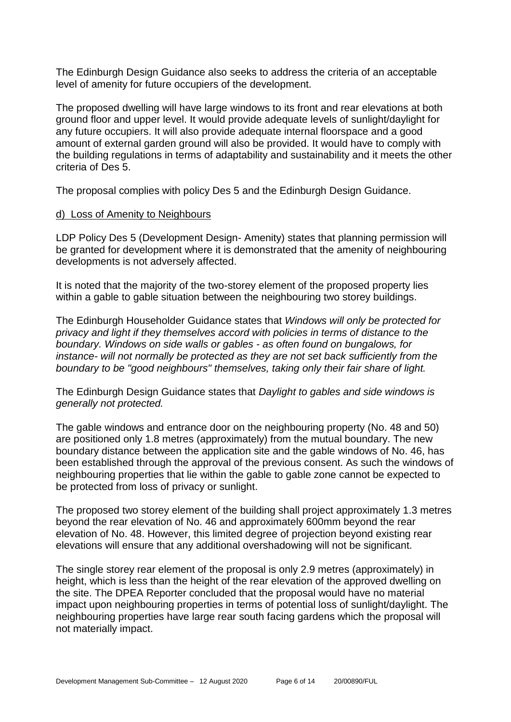The Edinburgh Design Guidance also seeks to address the criteria of an acceptable level of amenity for future occupiers of the development.

The proposed dwelling will have large windows to its front and rear elevations at both ground floor and upper level. It would provide adequate levels of sunlight/daylight for any future occupiers. It will also provide adequate internal floorspace and a good amount of external garden ground will also be provided. It would have to comply with the building regulations in terms of adaptability and sustainability and it meets the other criteria of Des 5.

The proposal complies with policy Des 5 and the Edinburgh Design Guidance.

#### d) Loss of Amenity to Neighbours

LDP Policy Des 5 (Development Design- Amenity) states that planning permission will be granted for development where it is demonstrated that the amenity of neighbouring developments is not adversely affected.

It is noted that the majority of the two-storey element of the proposed property lies within a gable to gable situation between the neighbouring two storey buildings.

The Edinburgh Householder Guidance states that *Windows will only be protected for privacy and light if they themselves accord with policies in terms of distance to the boundary. Windows on side walls or gables - as often found on bungalows, for instance- will not normally be protected as they are not set back sufficiently from the boundary to be "good neighbours" themselves, taking only their fair share of light.*

The Edinburgh Design Guidance states that *Daylight to gables and side windows is generally not protected.*

The gable windows and entrance door on the neighbouring property (No. 48 and 50) are positioned only 1.8 metres (approximately) from the mutual boundary. The new boundary distance between the application site and the gable windows of No. 46, has been established through the approval of the previous consent. As such the windows of neighbouring properties that lie within the gable to gable zone cannot be expected to be protected from loss of privacy or sunlight.

The proposed two storey element of the building shall project approximately 1.3 metres beyond the rear elevation of No. 46 and approximately 600mm beyond the rear elevation of No. 48. However, this limited degree of projection beyond existing rear elevations will ensure that any additional overshadowing will not be significant.

The single storey rear element of the proposal is only 2.9 metres (approximately) in height, which is less than the height of the rear elevation of the approved dwelling on the site. The DPEA Reporter concluded that the proposal would have no material impact upon neighbouring properties in terms of potential loss of sunlight/daylight. The neighbouring properties have large rear south facing gardens which the proposal will not materially impact.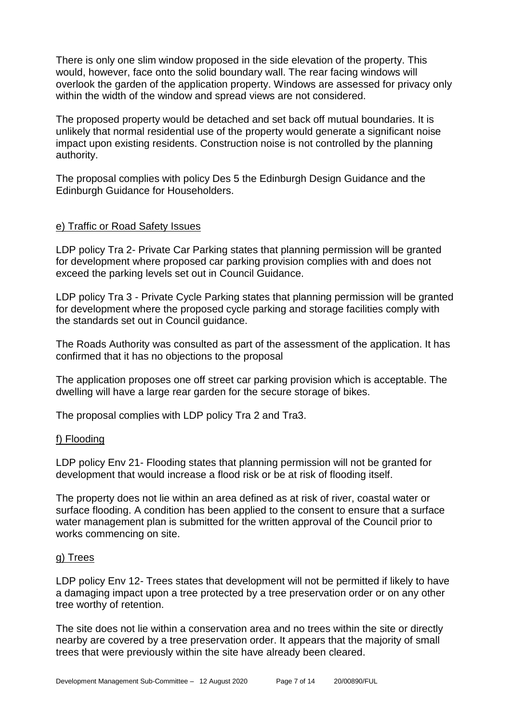There is only one slim window proposed in the side elevation of the property. This would, however, face onto the solid boundary wall. The rear facing windows will overlook the garden of the application property. Windows are assessed for privacy only within the width of the window and spread views are not considered.

The proposed property would be detached and set back off mutual boundaries. It is unlikely that normal residential use of the property would generate a significant noise impact upon existing residents. Construction noise is not controlled by the planning authority.

The proposal complies with policy Des 5 the Edinburgh Design Guidance and the Edinburgh Guidance for Householders.

#### e) Traffic or Road Safety Issues

LDP policy Tra 2- Private Car Parking states that planning permission will be granted for development where proposed car parking provision complies with and does not exceed the parking levels set out in Council Guidance.

LDP policy Tra 3 - Private Cycle Parking states that planning permission will be granted for development where the proposed cycle parking and storage facilities comply with the standards set out in Council guidance.

The Roads Authority was consulted as part of the assessment of the application. It has confirmed that it has no objections to the proposal

The application proposes one off street car parking provision which is acceptable. The dwelling will have a large rear garden for the secure storage of bikes.

The proposal complies with LDP policy Tra 2 and Tra3.

#### f) Flooding

LDP policy Env 21- Flooding states that planning permission will not be granted for development that would increase a flood risk or be at risk of flooding itself.

The property does not lie within an area defined as at risk of river, coastal water or surface flooding. A condition has been applied to the consent to ensure that a surface water management plan is submitted for the written approval of the Council prior to works commencing on site.

#### g) Trees

LDP policy Env 12- Trees states that development will not be permitted if likely to have a damaging impact upon a tree protected by a tree preservation order or on any other tree worthy of retention.

The site does not lie within a conservation area and no trees within the site or directly nearby are covered by a tree preservation order. It appears that the majority of small trees that were previously within the site have already been cleared.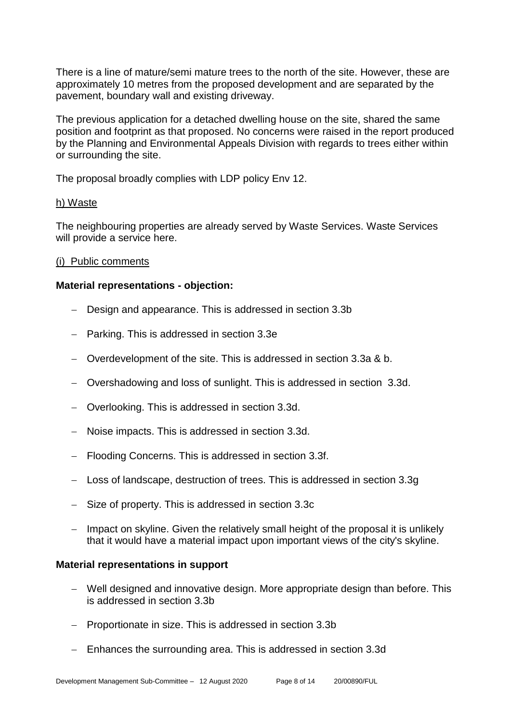There is a line of mature/semi mature trees to the north of the site. However, these are approximately 10 metres from the proposed development and are separated by the pavement, boundary wall and existing driveway.

The previous application for a detached dwelling house on the site, shared the same position and footprint as that proposed. No concerns were raised in the report produced by the Planning and Environmental Appeals Division with regards to trees either within or surrounding the site.

The proposal broadly complies with LDP policy Env 12.

#### h) Waste

The neighbouring properties are already served by Waste Services. Waste Services will provide a service here.

#### (i) Public comments

#### **Material representations - objection:**

- − Design and appearance. This is addressed in section 3.3b
- − Parking. This is addressed in section 3.3e
- − Overdevelopment of the site. This is addressed in section 3.3a & b.
- − Overshadowing and loss of sunlight. This is addressed in section 3.3d.
- − Overlooking. This is addressed in section 3.3d.
- − Noise impacts. This is addressed in section 3.3d.
- − Flooding Concerns. This is addressed in section 3.3f.
- − Loss of landscape, destruction of trees. This is addressed in section 3.3g
- − Size of property. This is addressed in section 3.3c
- − Impact on skyline. Given the relatively small height of the proposal it is unlikely that it would have a material impact upon important views of the city's skyline.

#### **Material representations in support**

- − Well designed and innovative design. More appropriate design than before. This is addressed in section 3.3b
- − Proportionate in size. This is addressed in section 3.3b
- − Enhances the surrounding area. This is addressed in section 3.3d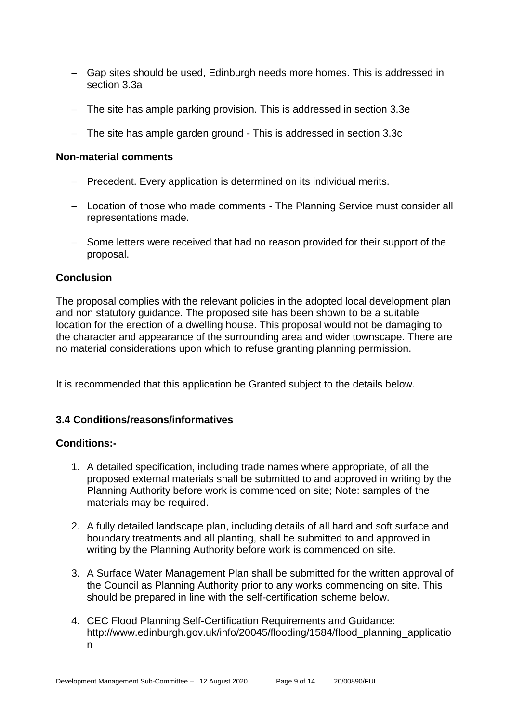- − Gap sites should be used, Edinburgh needs more homes. This is addressed in section 3.3a
- − The site has ample parking provision. This is addressed in section 3.3e
- − The site has ample garden ground This is addressed in section 3.3c

#### **Non-material comments**

- − Precedent. Every application is determined on its individual merits.
- − Location of those who made comments The Planning Service must consider all representations made.
- − Some letters were received that had no reason provided for their support of the proposal.

#### **Conclusion**

The proposal complies with the relevant policies in the adopted local development plan and non statutory guidance. The proposed site has been shown to be a suitable location for the erection of a dwelling house. This proposal would not be damaging to the character and appearance of the surrounding area and wider townscape. There are no material considerations upon which to refuse granting planning permission.

It is recommended that this application be Granted subject to the details below.

#### **3.4 Conditions/reasons/informatives**

#### **Conditions:-**

- 1. A detailed specification, including trade names where appropriate, of all the proposed external materials shall be submitted to and approved in writing by the Planning Authority before work is commenced on site; Note: samples of the materials may be required.
- 2. A fully detailed landscape plan, including details of all hard and soft surface and boundary treatments and all planting, shall be submitted to and approved in writing by the Planning Authority before work is commenced on site.
- 3. A Surface Water Management Plan shall be submitted for the written approval of the Council as Planning Authority prior to any works commencing on site. This should be prepared in line with the self-certification scheme below.
- 4. CEC Flood Planning Self-Certification Requirements and Guidance: http://www.edinburgh.gov.uk/info/20045/flooding/1584/flood\_planning\_applicatio n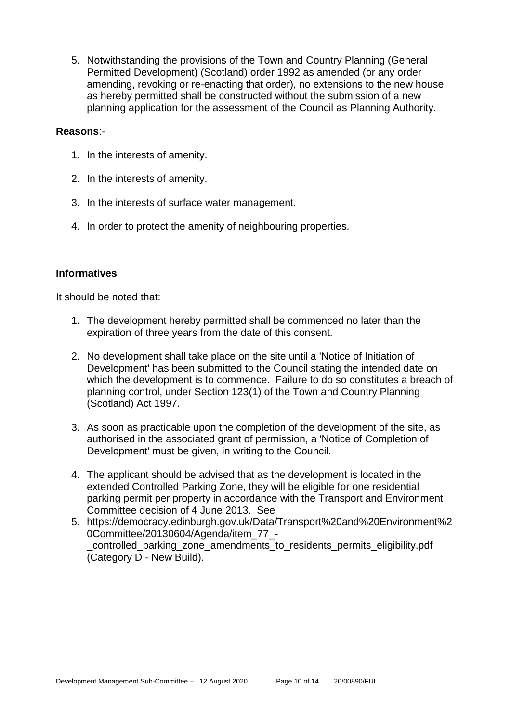5. Notwithstanding the provisions of the Town and Country Planning (General Permitted Development) (Scotland) order 1992 as amended (or any order amending, revoking or re-enacting that order), no extensions to the new house as hereby permitted shall be constructed without the submission of a new planning application for the assessment of the Council as Planning Authority.

#### **Reasons**:-

- 1. In the interests of amenity.
- 2. In the interests of amenity.
- 3. In the interests of surface water management.
- 4. In order to protect the amenity of neighbouring properties.

#### **Informatives**

It should be noted that:

- 1. The development hereby permitted shall be commenced no later than the expiration of three years from the date of this consent.
- 2. No development shall take place on the site until a 'Notice of Initiation of Development' has been submitted to the Council stating the intended date on which the development is to commence. Failure to do so constitutes a breach of planning control, under Section 123(1) of the Town and Country Planning (Scotland) Act 1997.
- 3. As soon as practicable upon the completion of the development of the site, as authorised in the associated grant of permission, a 'Notice of Completion of Development' must be given, in writing to the Council.
- 4. The applicant should be advised that as the development is located in the extended Controlled Parking Zone, they will be eligible for one residential parking permit per property in accordance with the Transport and Environment Committee decision of 4 June 2013. See
- 5. https://democracy.edinburgh.gov.uk/Data/Transport%20and%20Environment%2 0Committee/20130604/Agenda/item\_77\_- \_controlled\_parking\_zone\_amendments\_to\_residents\_permits\_eligibility.pdf (Category D - New Build).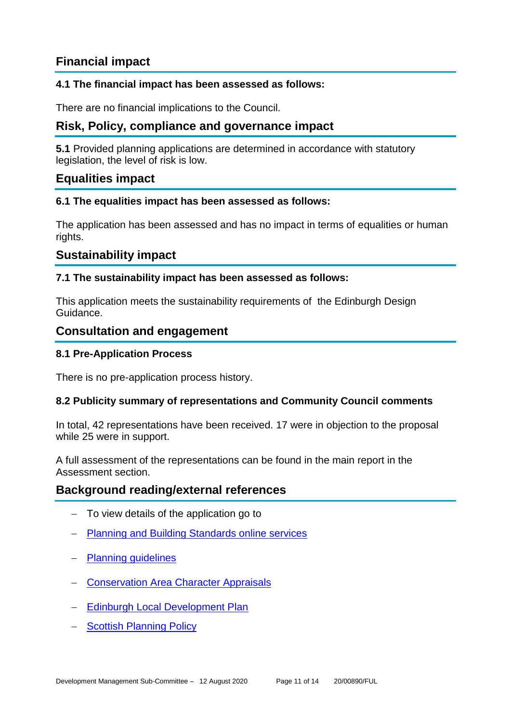# **Financial impact**

#### **4.1 The financial impact has been assessed as follows:**

There are no financial implications to the Council.

# **Risk, Policy, compliance and governance impact**

**5.1** Provided planning applications are determined in accordance with statutory legislation, the level of risk is low.

#### **Equalities impact**

#### **6.1 The equalities impact has been assessed as follows:**

The application has been assessed and has no impact in terms of equalities or human rights.

### **Sustainability impact**

#### **7.1 The sustainability impact has been assessed as follows:**

This application meets the sustainability requirements of the Edinburgh Design Guidance.

#### **Consultation and engagement**

#### **8.1 Pre-Application Process**

There is no pre-application process history.

#### **8.2 Publicity summary of representations and Community Council comments**

In total, 42 representations have been received. 17 were in objection to the proposal while 25 were in support.

A full assessment of the representations can be found in the main report in the Assessment section.

#### **Background reading/external references**

- To view details of the application go to
- − [Planning and Building Standards online services](https://citydev-portal.edinburgh.gov.uk/idoxpa-web/search.do?action=simple&searchType=Application)
- − [Planning guidelines](http://www.edinburgh.gov.uk/planningguidelines)
- − [Conservation Area Character Appraisals](http://www.edinburgh.gov.uk/characterappraisals)
- − [Edinburgh Local Development Plan](http://www.edinburgh.gov.uk/localdevelopmentplan)
- − [Scottish Planning Policy](http://www.scotland.gov.uk/Topics/Built-Environment/planning/Policy)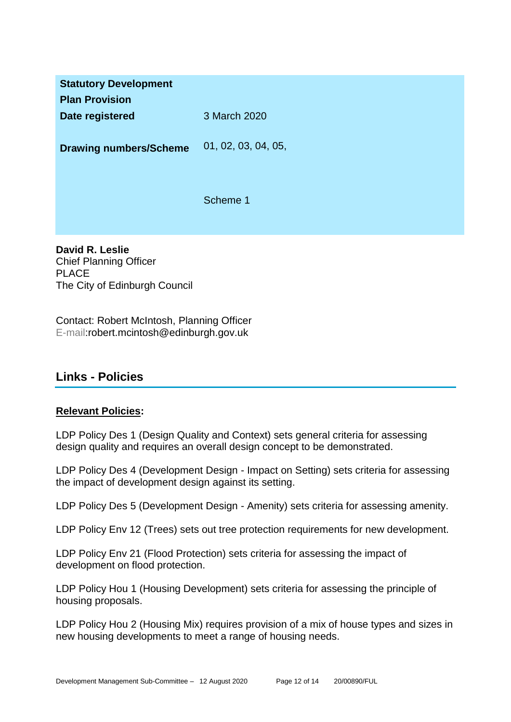| <b>Statutory Development</b><br><b>Plan Provision</b> |                     |
|-------------------------------------------------------|---------------------|
| Date registered                                       | 3 March 2020        |
| <b>Drawing numbers/Scheme</b>                         | 01, 02, 03, 04, 05, |
|                                                       | Scheme 1            |

**David R. Leslie** Chief Planning Officer PLACE The City of Edinburgh Council

Contact: Robert McIntosh, Planning Officer E-mail:robert.mcintosh@edinburgh.gov.uk

# **Links - Policies**

#### **Relevant Policies:**

LDP Policy Des 1 (Design Quality and Context) sets general criteria for assessing design quality and requires an overall design concept to be demonstrated.

LDP Policy Des 4 (Development Design - Impact on Setting) sets criteria for assessing the impact of development design against its setting.

LDP Policy Des 5 (Development Design - Amenity) sets criteria for assessing amenity.

LDP Policy Env 12 (Trees) sets out tree protection requirements for new development.

LDP Policy Env 21 (Flood Protection) sets criteria for assessing the impact of development on flood protection.

LDP Policy Hou 1 (Housing Development) sets criteria for assessing the principle of housing proposals.

LDP Policy Hou 2 (Housing Mix) requires provision of a mix of house types and sizes in new housing developments to meet a range of housing needs.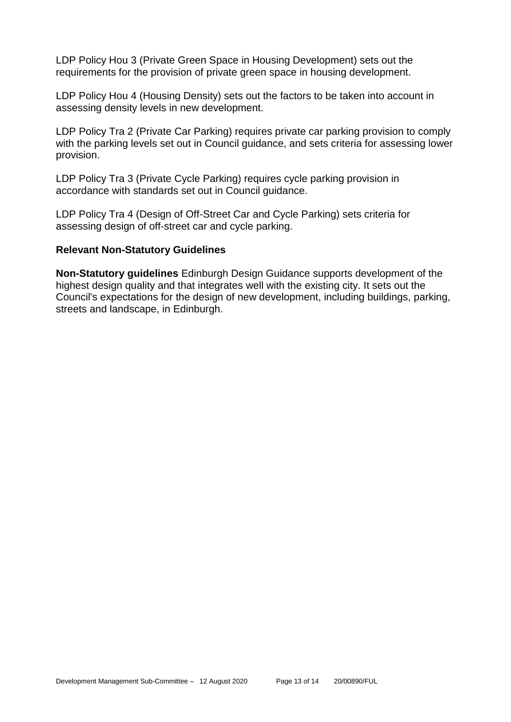LDP Policy Hou 3 (Private Green Space in Housing Development) sets out the requirements for the provision of private green space in housing development.

LDP Policy Hou 4 (Housing Density) sets out the factors to be taken into account in assessing density levels in new development.

LDP Policy Tra 2 (Private Car Parking) requires private car parking provision to comply with the parking levels set out in Council guidance, and sets criteria for assessing lower provision.

LDP Policy Tra 3 (Private Cycle Parking) requires cycle parking provision in accordance with standards set out in Council guidance.

LDP Policy Tra 4 (Design of Off-Street Car and Cycle Parking) sets criteria for assessing design of off-street car and cycle parking.

#### **Relevant Non-Statutory Guidelines**

**Non-Statutory guidelines** Edinburgh Design Guidance supports development of the highest design quality and that integrates well with the existing city. It sets out the Council's expectations for the design of new development, including buildings, parking, streets and landscape, in Edinburgh.